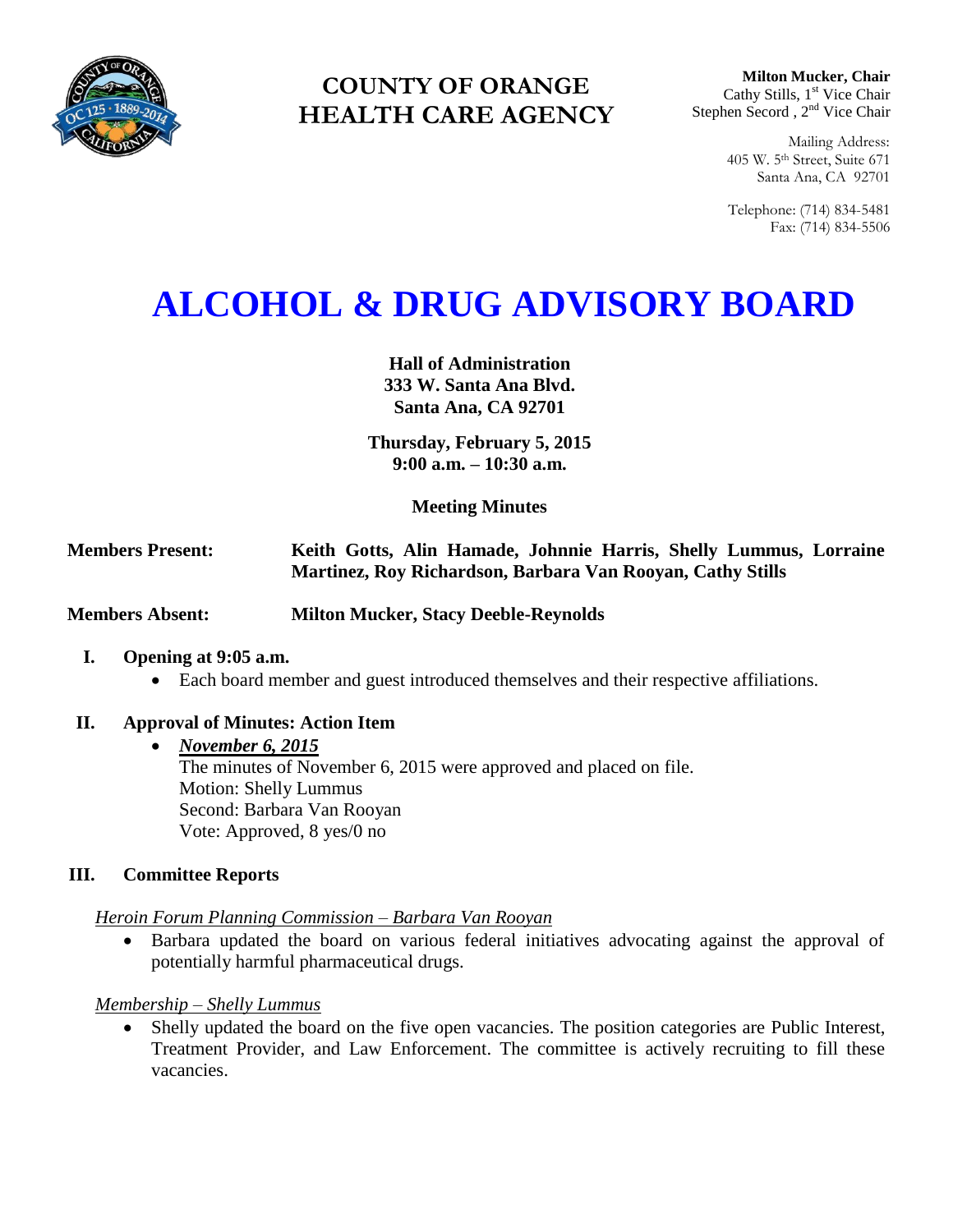

# **COUNTY OF ORANGE HEALTH CARE AGENCY**

**Milton Mucker, Chair** Cathy Stills, 1<sup>st</sup> Vice Chair Stephen Secord, 2<sup>nd</sup> Vice Chair

> Mailing Address: 405 W. 5th Street, Suite 671 Santa Ana, CA 92701

> Telephone: (714) 834-5481 Fax: (714) 834-5506

# **ALCOHOL & DRUG ADVISORY BOARD**

**Hall of Administration 333 W. Santa Ana Blvd. Santa Ana, CA 92701**

**Thursday, February 5, 2015 9:00 a.m. – 10:30 a.m.** 

**Meeting Minutes**

**Members Present: Keith Gotts, Alin Hamade, Johnnie Harris, Shelly Lummus, Lorraine Martinez, Roy Richardson, Barbara Van Rooyan, Cathy Stills** 

**Members Absent: Milton Mucker, Stacy Deeble-Reynolds**

#### **I. Opening at 9:05 a.m.**

Each board member and guest introduced themselves and their respective affiliations.

# **II. Approval of Minutes: Action Item**

#### *November 6, 2015*

The minutes of November 6, 2015 were approved and placed on file. Motion: Shelly Lummus Second: Barbara Van Rooyan Vote: Approved, 8 yes/0 no

# **III. Committee Reports**

#### *Heroin Forum Planning Commission – Barbara Van Rooyan*

 Barbara updated the board on various federal initiatives advocating against the approval of potentially harmful pharmaceutical drugs.

*Membership – Shelly Lummus*

 Shelly updated the board on the five open vacancies. The position categories are Public Interest, Treatment Provider, and Law Enforcement. The committee is actively recruiting to fill these vacancies.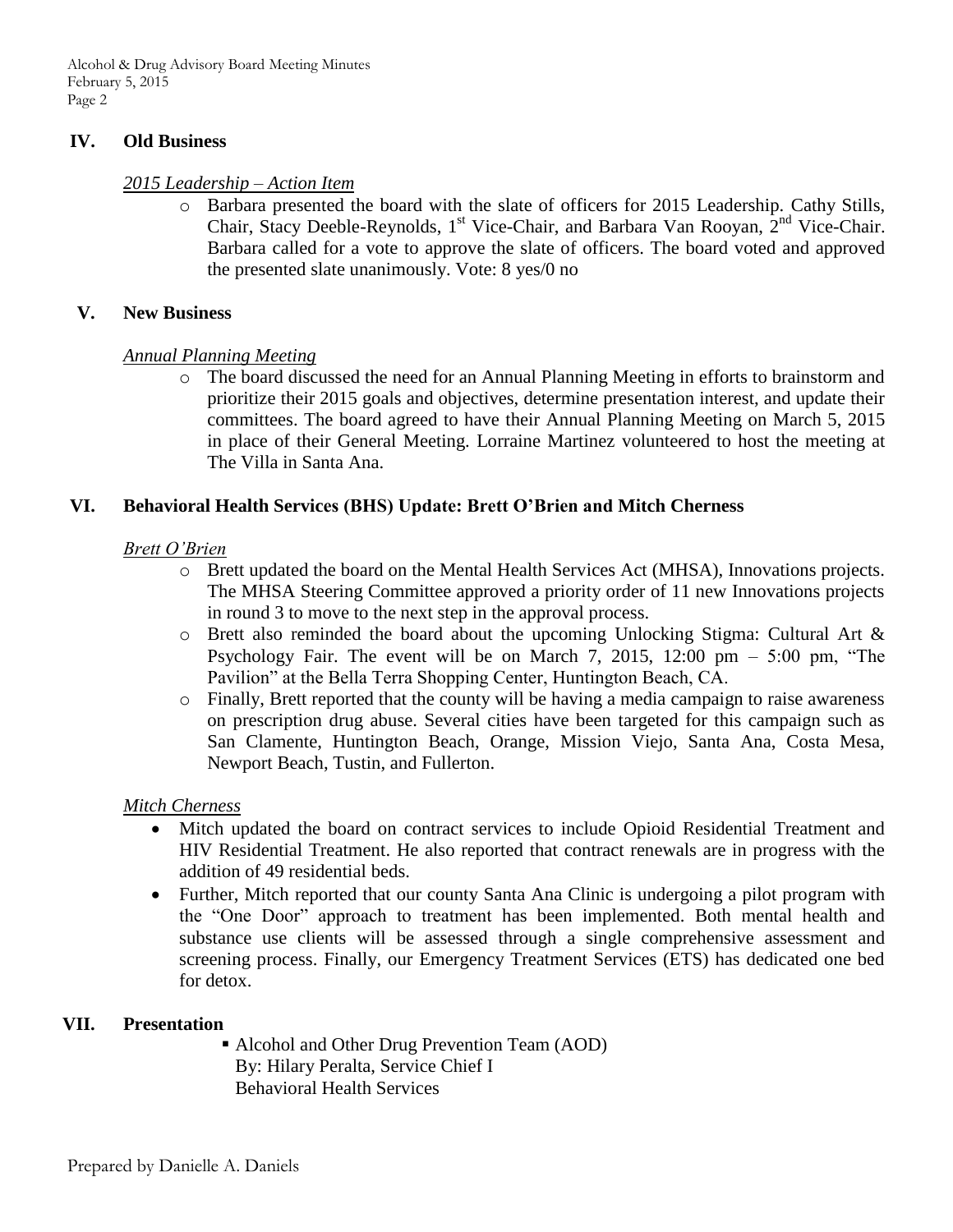Alcohol & Drug Advisory Board Meeting Minutes February 5, 2015 Page 2

#### **IV. Old Business**

#### *2015 Leadership – Action Item*

o Barbara presented the board with the slate of officers for 2015 Leadership. Cathy Stills, Chair, Stacy Deeble-Reynolds,  $1<sup>st</sup>$  Vice-Chair, and Barbara Van Rooyan,  $2<sup>nd</sup>$  Vice-Chair. Barbara called for a vote to approve the slate of officers. The board voted and approved the presented slate unanimously. Vote: 8 yes/0 no

#### **V. New Business**

#### *Annual Planning Meeting*

o The board discussed the need for an Annual Planning Meeting in efforts to brainstorm and prioritize their 2015 goals and objectives, determine presentation interest, and update their committees. The board agreed to have their Annual Planning Meeting on March 5, 2015 in place of their General Meeting. Lorraine Martinez volunteered to host the meeting at The Villa in Santa Ana.

#### **VI. Behavioral Health Services (BHS) Update: Brett O'Brien and Mitch Cherness**

#### *Brett O'Brien*

- o Brett updated the board on the Mental Health Services Act (MHSA), Innovations projects. The MHSA Steering Committee approved a priority order of 11 new Innovations projects in round 3 to move to the next step in the approval process.
- o Brett also reminded the board about the upcoming Unlocking Stigma: Cultural Art & Psychology Fair. The event will be on March 7, 2015, 12:00 pm  $-$  5:00 pm, "The Pavilion" at the Bella Terra Shopping Center, Huntington Beach, CA.
- o Finally, Brett reported that the county will be having a media campaign to raise awareness on prescription drug abuse. Several cities have been targeted for this campaign such as San Clamente, Huntington Beach, Orange, Mission Viejo, Santa Ana, Costa Mesa, Newport Beach, Tustin, and Fullerton.

#### *Mitch Cherness*

- Mitch updated the board on contract services to include Opioid Residential Treatment and HIV Residential Treatment. He also reported that contract renewals are in progress with the addition of 49 residential beds.
- Further, Mitch reported that our county Santa Ana Clinic is undergoing a pilot program with the "One Door" approach to treatment has been implemented. Both mental health and substance use clients will be assessed through a single comprehensive assessment and screening process. Finally, our Emergency Treatment Services (ETS) has dedicated one bed for detox.

#### **VII. Presentation**

■ Alcohol and Other Drug Prevention Team (AOD) By: Hilary Peralta, Service Chief I Behavioral Health Services